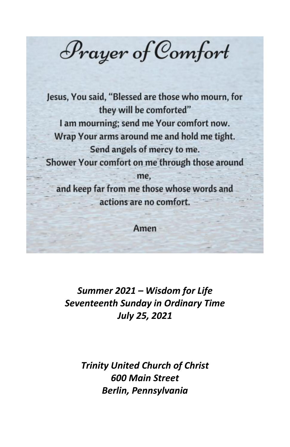Prayer of Comfort

Jesus, You said, "Blessed are those who mourn, for they will be comforted" I am mourning; send me Your comfort now. Wrap Your arms around me and hold me tight. Send angels of mercy to me. Shower Your comfort on me through those around me. and keep far from me those whose words and actions are no comfort.

Amen

*Summer 2021 – Wisdom for Life Seventeenth Sunday in Ordinary Time July 25, 2021*

> *Trinity United Church of Christ 600 Main Street Berlin, Pennsylvania*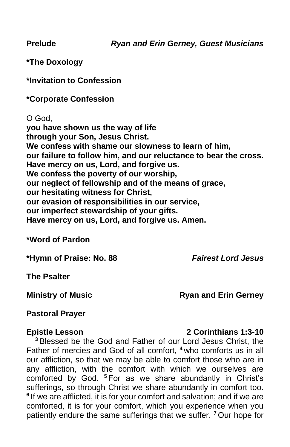**\*The Doxology**

**\*Invitation to Confession**

**\*Corporate Confession**

O God, **you have shown us the way of life through your Son, Jesus Christ. We confess with shame our slowness to learn of him, our failure to follow him, and our reluctance to bear the cross. Have mercy on us, Lord, and forgive us. We confess the poverty of our worship, our neglect of fellowship and of the means of grace, our hesitating witness for Christ, our evasion of responsibilities in our service, our imperfect stewardship of your gifts. Have mercy on us, Lord, and forgive us. Amen.** 

**\*Word of Pardon**

**\*Hymn of Praise: No. 88** *Fairest Lord Jesus*

**The Psalter**

#### **Ministry of Music Ryan and Erin Gerney**

#### **Pastoral Prayer**

#### **Epistle Lesson 2 Corinthians 1:3-10**

**<sup>3</sup>** Blessed be the God and Father of our Lord Jesus Christ, the Father of mercies and God of all comfort, **<sup>4</sup>** who comforts us in all our affliction, so that we may be able to comfort those who are in any affliction, with the comfort with which we ourselves are comforted by God. **<sup>5</sup>** For as we share abundantly in Christ's sufferings, so through Christ we share abundantly in comfort too. <sup>6</sup> If we are afflicted, it is for your comfort and salvation; and if we are comforted, it is for your comfort, which you experience when you patiently endure the same sufferings that we suffer. **<sup>7</sup>** Our hope for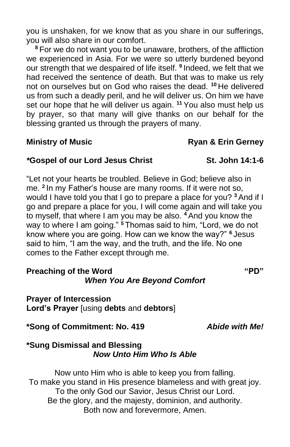you is unshaken, for we know that as you share in our sufferings, you will also share in our comfort.

**<sup>8</sup>** For we do not want you to be unaware, brothers, of the affliction we experienced in Asia. For we were so utterly burdened beyond our strength that we despaired of life itself. **<sup>9</sup>** Indeed, we felt that we had received the sentence of death. But that was to make us rely not on ourselves but on God who raises the dead. **<sup>10</sup>** He delivered us from such a deadly peril, and he will deliver us. On him we have set our hope that he will deliver us again. **<sup>11</sup>** You also must help us by prayer, so that many will give thanks on our behalf for the blessing granted us through the prayers of many.

### **Ministry of Music Ryan & Erin Gerney**

#### *\****Gospel of our Lord Jesus Christ St. John 14:1-6**

"Let not your hearts be troubled. Believe in God; believe also in me. **<sup>2</sup>** In my Father's house are many rooms. If it were not so, would I have told you that I go to prepare a place for you? **<sup>3</sup>** And if I go and prepare a place for you, I will come again and will take you to myself, that where I am you may be also. **<sup>4</sup>** And you know the way to where I am going." **<sup>5</sup>** Thomas said to him, "Lord, we do not know where you are going. How can we know the way?" **<sup>6</sup>** Jesus said to him, "I am the way, and the truth, and the life. No one comes to the Father except through me.

## **Preaching of the Word "PD"** *When You Are Beyond Comfort*

#### **Prayer of Intercession Lord's Prayer** [using **debts** and **debtors**]

**\*Song of Commitment: No. 419** *Abide with Me!*

#### **\*Sung Dismissal and Blessing** *Now Unto Him Who Is Able*

Now unto Him who is able to keep you from falling. To make you stand in His presence blameless and with great joy. To the only God our Savior, Jesus Christ our Lord. Be the glory, and the majesty, dominion, and authority. Both now and forevermore, Amen.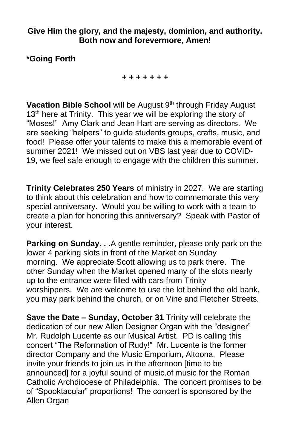#### **Give Him the glory, and the majesty, dominion, and authority. Both now and forevermore, Amen!**

### **\*Going Forth**

*+ + + + + + +*

Vacation Bible School will be August 9<sup>th</sup> through Friday August 13<sup>th</sup> here at Trinity. This year we will be exploring the story of "Moses!" Amy Clark and Jean Hart are serving as directors. We are seeking "helpers" to guide students groups, crafts, music, and food! Please offer your talents to make this a memorable event of summer 2021! We missed out on VBS last year due to COVID-19, we feel safe enough to engage with the children this summer.

**Trinity Celebrates 250 Years** of ministry in 2027. We are starting to think about this celebration and how to commemorate this very special anniversary. Would you be willing to work with a team to create a plan for honoring this anniversary? Speak with Pastor of your interest.

**Parking on Sunday. . .**A gentle reminder, please only park on the lower 4 parking slots in front of the Market on Sunday morning. We appreciate Scott allowing us to park there. The other Sunday when the Market opened many of the slots nearly up to the entrance were filled with cars from Trinity worshippers. We are welcome to use the lot behind the old bank, you may park behind the church, or on Vine and Fletcher Streets.

**Save the Date – Sunday, October 31** Trinity will celebrate the dedication of our new Allen Designer Organ with the "designer" Mr. Rudolph Lucente as our Musical Artist. PD is calling this concert "The Reformation of Rudy!" Mr. Lucente is the former director Company and the Music Emporium, Altoona. Please invite your friends to join us in the afternoon [time to be announced] for a joyful sound of music.of music for the Roman Catholic Archdiocese of Philadelphia. The concert promises to be of "Spooktacular" proportions! The concert is sponsored by the Allen Organ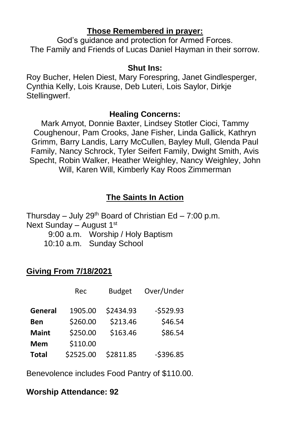#### **Those Remembered in prayer:**

God's guidance and protection for Armed Forces. The Family and Friends of Lucas Daniel Hayman in their sorrow.

#### **Shut Ins:**

Roy Bucher, Helen Diest, Mary Forespring, Janet Gindlesperger, Cynthia Kelly, Lois Krause, Deb Luteri, Lois Saylor, Dirkje Stellingwerf.

#### **Healing Concerns:**

Mark Amyot, Donnie Baxter, Lindsey Stotler Cioci, Tammy Coughenour, Pam Crooks, Jane Fisher, Linda Gallick, Kathryn Grimm, Barry Landis, Larry McCullen, Bayley Mull, Glenda Paul Family, Nancy Schrock, Tyler Seifert Family, Dwight Smith, Avis Specht, Robin Walker, Heather Weighley, Nancy Weighley, John Will, Karen Will, Kimberly Kay Roos Zimmerman

# **The Saints In Action**

Thursday – July 29<sup>th</sup> Board of Christian Ed – 7:00 p.m. Next Sunday – August 1st

9:00 a.m. Worship / Holy Baptism 10:10 a.m. Sunday School

# **Giving From 7/18/2021**

|              | Rec       | <b>Budget</b> | Over/Under |
|--------------|-----------|---------------|------------|
| General      | 1905.00   | \$2434.93     | $-5529.93$ |
| Ben          | \$260.00  | \$213.46      | \$46.54    |
| <b>Maint</b> | \$250.00  | \$163.46      | \$86.54    |
| Mem          | \$110.00  |               |            |
| <b>Total</b> | \$2525.00 | \$2811.85     | $-5396.85$ |

Benevolence includes Food Pantry of \$110.00.

# **Worship Attendance: 92**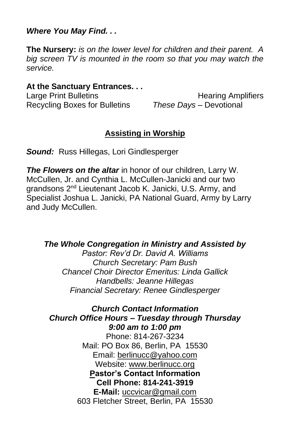#### *Where You May Find. . .*

**The Nursery:** *is on the lower level for children and their parent. A big screen TV is mounted in the room so that you may watch the service.*

#### **At the Sanctuary Entrances. . .**

Recycling Boxes for Bulletins *These Days –* Devotional

Large Print Bulletins **Example 20** Hearing Amplifiers

### **Assisting in Worship**

*Sound:* Russ Hillegas, Lori Gindlesperger

*The Flowers on the altar* in honor of our children, Larry W. McCullen, Jr. and Cynthia L. McCullen-Janicki and our two grandsons 2<sup>nd</sup> Lieutenant Jacob K. Janicki, U.S. Army, and Specialist Joshua L. Janicki, PA National Guard, Army by Larry and Judy McCullen.

*The Whole Congregation in Ministry and Assisted by*

*Pastor: Rev'd Dr. David A. Williams Church Secretary: Pam Bush Chancel Choir Director Emeritus: Linda Gallick Handbells: Jeanne Hillegas Financial Secretary: Renee Gindlesperger*

*Church Contact Information Church Office Hours – Tuesday through Thursday 9:00 am to 1:00 pm* Phone: 814-267-3234 Mail: PO Box 86, Berlin, PA 15530 Email: [berlinucc@yahoo.com](about:blank) Website: [www.berlinucc.org](about:blank) **Pastor's Contact Information Cell Phone: 814-241-3919 E-Mail:** [uccvicar@gmail.com](about:blank) 603 Fletcher Street, Berlin, PA 15530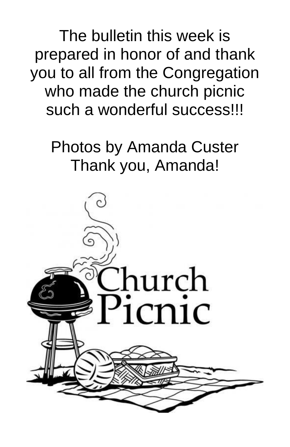The bulletin this week is prepared in honor of and thank you to all from the Congregation who made the church picnic such a wonderful success!!!

# Photos by Amanda Custer Thank you, Amanda!